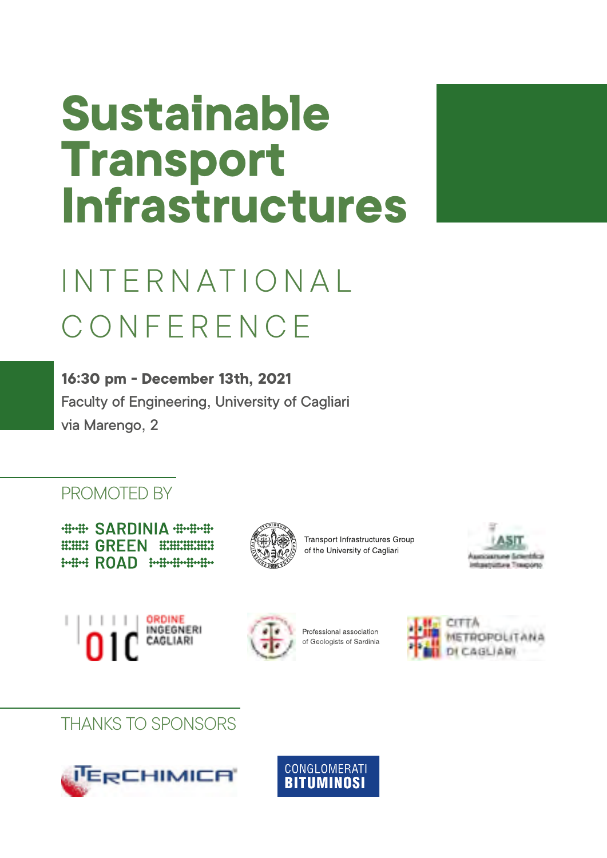# **Sustainable Transport Infrastructures**



## IN T F R N AT I O N A L CONFERENCE

**16:30 pm - December 13th, 2021** Faculty of Engineering, University of Cagliari via Marengo, 2

## PROMOTED BY

**Holly SARDINIA** Holloch **EDIE GREEN EDELECTION** Film ROAD Film Holland



Transport Infrastructures Group of the University of Cagliari



ORDINE INGEGNERI



Professional association of Geologists of Sardinia



## THANKS TO SPONSORS



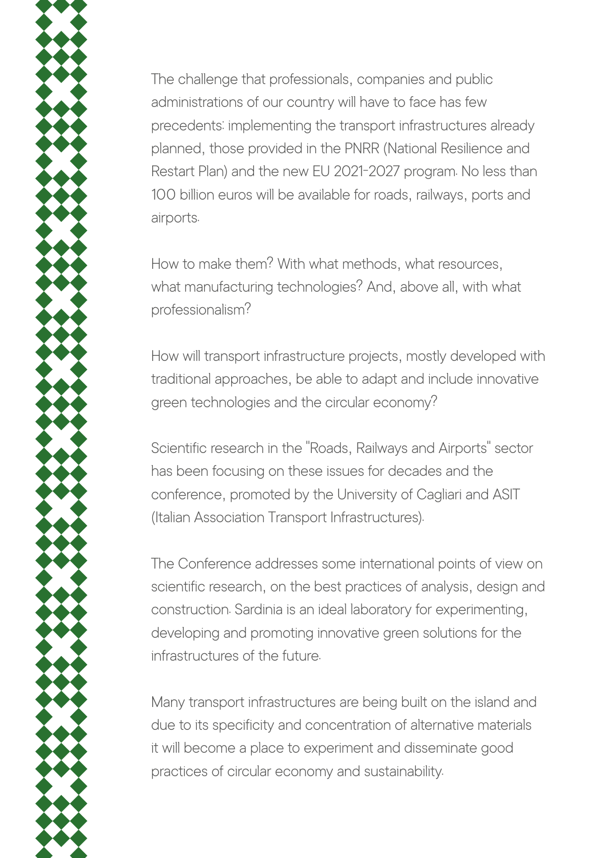The challenge that professionals, companies and public administrations of our country will have to face has few precedents: implementing the transport infrastructures already planned, those provided in the PNRR (National Resilience and Restart Plan) and the new EU 2021-2027 program. No less than 100 billion euros will be available for roads, railways, ports and airports.

How to make them? With what methods, what resources, what manufacturing technologies? And, above all, with what professionalism?

How will transport infrastructure projects, mostly developed with traditional approaches, be able to adapt and include innovative green technologies and the circular economy?

Scientific research in the "Roads, Railways and Airports" sector has been focusing on these issues for decades and the conference, promoted by the University of Cagliari and ASIT (Italian Association Transport Infrastructures).

The Conference addresses some international points of view on scientific research, on the best practices of analysis, design and construction. Sardinia is an ideal laboratory for experimenting, developing and promoting innovative green solutions for the infrastructures of the future.

Many transport infrastructures are being built on the island and due to its specificity and concentration of alternative materials it will become a place to experiment and disseminate good practices of circular economy and sustainability.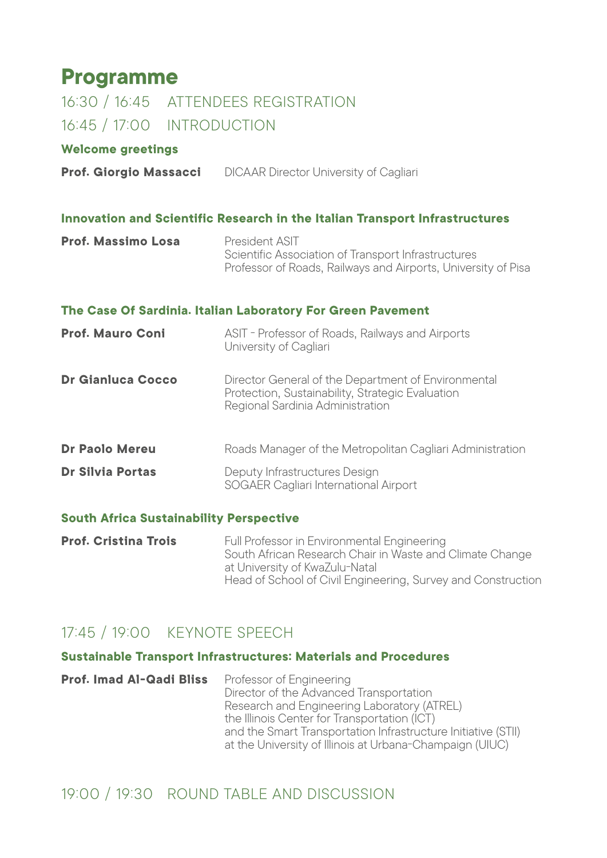## **Programme**

## 16:30 / 16:45 ATTENDEES REGISTRATION

16:45 / 17:00 INTRODUCTION

#### **Welcome greetings**

**Prof. Giorgio Massacci** DICAAR Director University of Cagliari

#### **Innovation and Scientific Research in the Italian Transport Infrastructures**

**Prof. Massimo Losa** President ASIT Scientific Association of Transport Infrastructures Professor of Roads, Railways and Airports, University of Pisa

#### **The Case Of Sardinia. Italian Laboratory For Green Pavement**

| Prof. Mauro Coni | ASIT - Professor of Roads, Railways and Airports |
|------------------|--------------------------------------------------|
|                  | University of Cagliari                           |

- **Dr Gianluca Cocco** Director General of the Department of Environmental Protection, Sustainability, Strategic Evaluation Regional Sardinia Administration
- **Dr Paolo Mereu** Roads Manager of the Metropolitan Cagliari Administration

| <b>Dr Silvia Portas</b> | Deputy Infrastructures Design         |
|-------------------------|---------------------------------------|
|                         | SOGAER Cagliari International Airport |

#### **South Africa Sustainability Perspective**

| <b>Prof. Cristina Trois</b> | Full Professor in Environmental Engineering                  |
|-----------------------------|--------------------------------------------------------------|
|                             | South African Research Chair in Waste and Climate Change     |
|                             | at University of KwaZulu-Natal                               |
|                             | Head of School of Civil Engineering, Survey and Construction |

#### 17:45 / 19:00 KEYNOTE SPEECH

#### **Sustainable Transport Infrastructures: Materials and Procedures**

| <b>Prof. Imad Al-Qadi Bliss</b> | Professor of Engineering                                      |
|---------------------------------|---------------------------------------------------------------|
|                                 | Director of the Advanced Transportation                       |
|                                 | Research and Engineering Laboratory (ATREL)                   |
|                                 | the Illinois Center for Transportation (ICT)                  |
|                                 | and the Smart Transportation Infrastructure Initiative (STII) |
|                                 | at the University of Illinois at Urbana-Champaign (UIUC)      |

#### 19:00 / 19:30 ROUND TABLE AND DISCUSSION